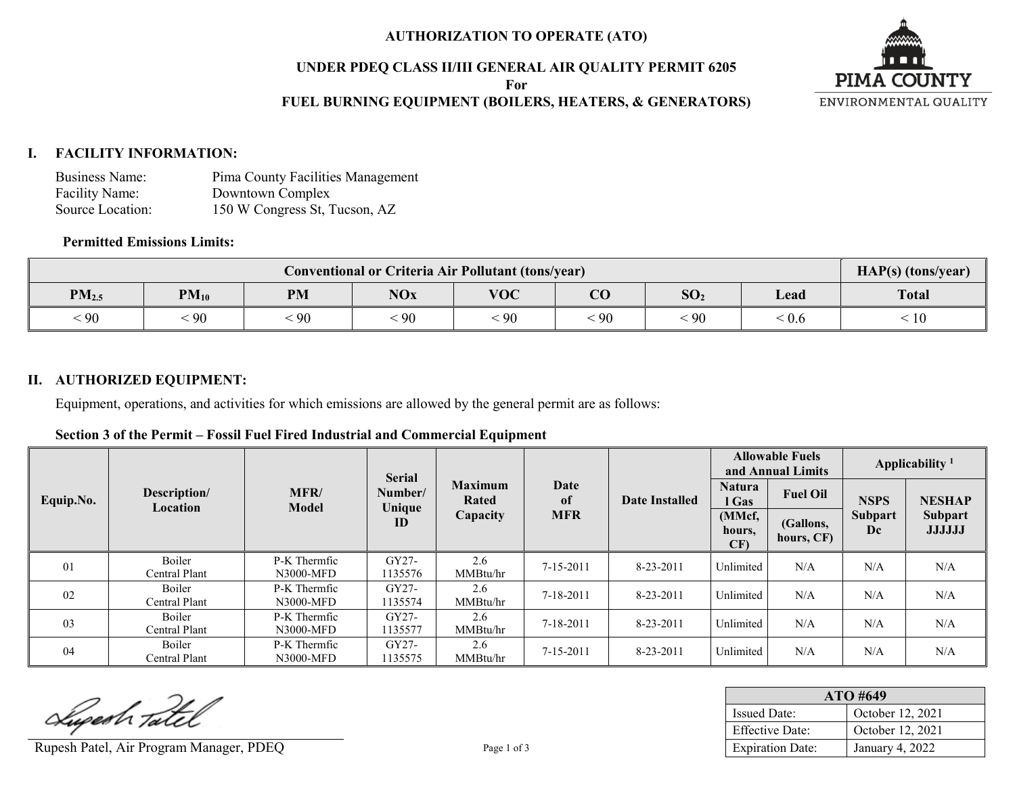## **AUTHORIZATION TO OPERATE (ATO)**

### **UNDER PDEQ CLASS II/III GENERAL AIR QUALITY PERMIT 6205**

**For**

## **FUEL BURNING EQUIPMENT (BOILERS, HEATERS, & GENERATORS)**



## **I. FACILITY INFORMATION:**

| Business Name:   | Pima County Facilities Management |
|------------------|-----------------------------------|
| Facility Name:   | Downtown Complex                  |
| Source Location: | 150 W Congress St, Tucson, AZ     |

## **Permitted Emissions Limits:**

| <b>Conventional or Criteria Air Pollutant (tons/year)</b> |            |           |            |            |                        |                 | HAP(s) (tons/year) |              |
|-----------------------------------------------------------|------------|-----------|------------|------------|------------------------|-----------------|--------------------|--------------|
| PM <sub>2.5</sub>                                         | $PM_{10}$  | <b>PM</b> | <b>NOx</b> | <b>VOC</b> | $\overline{\text{CO}}$ | SO <sub>2</sub> | Lead               | <b>Total</b> |
| 90                                                        | $\cdot$ 90 | 90        | $\cdot$ 90 | 90         | 90                     | $\cdot$ 90      | . V.6              | 10           |

## **II. AUTHORIZED EQUIPMENT:**

Equipment, operations, and activities for which emissions are allowed by the general permit are as follows:

#### **Section 3 of the Permit – Fossil Fuel Fired Industrial and Commercial Equipment**

|           | <b>Serial</b>            |                           |                    |                         | <b>Allowable Fuels</b><br>and Annual Limits |                 | Applicability <sup>1</sup> |                         |                      |                                 |
|-----------|--------------------------|---------------------------|--------------------|-------------------------|---------------------------------------------|-----------------|----------------------------|-------------------------|----------------------|---------------------------------|
| Equip.No. | Description/<br>Location | MFR/<br>Model             | Number/<br>Unique  | <b>Maximum</b><br>Rated | Date<br>of                                  | Date Installed  |                            | <b>Fuel Oil</b>         | <b>NSPS</b>          | <b>NESHAP</b>                   |
|           |                          |                           | ID                 | Capacity                | <b>MFR</b>                                  |                 | (MMcf,<br>hours,<br>CF)    | (Gallons,<br>hours, CF) | <b>Subpart</b><br>Dc | <b>Subpart</b><br><b>JJJJJJ</b> |
| 01        | Boiler<br>Central Plant  | P-K Thermfic<br>N3000-MFD | GY27-<br>1135576   | 2.6<br>MMBtu/hr         | 7-15-2011                                   | $8 - 23 - 2011$ | Unlimited                  | N/A                     | N/A                  | N/A                             |
| 02        | Boiler<br>Central Plant  | P-K Thermfic<br>N3000-MFD | GY27-<br>1135574   | 2.6<br>MMBtu/hr         | 7-18-2011                                   | $8 - 23 - 2011$ | Unlimited                  | N/A                     | N/A                  | N/A                             |
| 03        | Boiler<br>Central Plant  | P-K Thermfic<br>N3000-MFD | $GY27-$<br>1135577 | 2.6<br>MMBtu/hr         | 7-18-2011                                   | $8 - 23 - 2011$ | Unlimited                  | N/A                     | N/A                  | N/A                             |
| 04        | Boiler<br>Central Plant  | P-K Thermfic<br>N3000-MFD | GY27-<br>1135575   | 2.6<br>MMBtu/hr         | 7-15-2011                                   | $8 - 23 - 2011$ | Unlimited                  | N/A                     | N/A                  | N/A                             |

Superh Tatel

Rupesh Patel, Air Program Manager, PDEQ Page 1 of 3

| ATO #649                |                  |  |  |  |
|-------------------------|------------------|--|--|--|
| <b>Issued Date:</b>     | October 12, 2021 |  |  |  |
| <b>Effective Date:</b>  | October 12, 2021 |  |  |  |
| <b>Expiration Date:</b> | January 4, 2022  |  |  |  |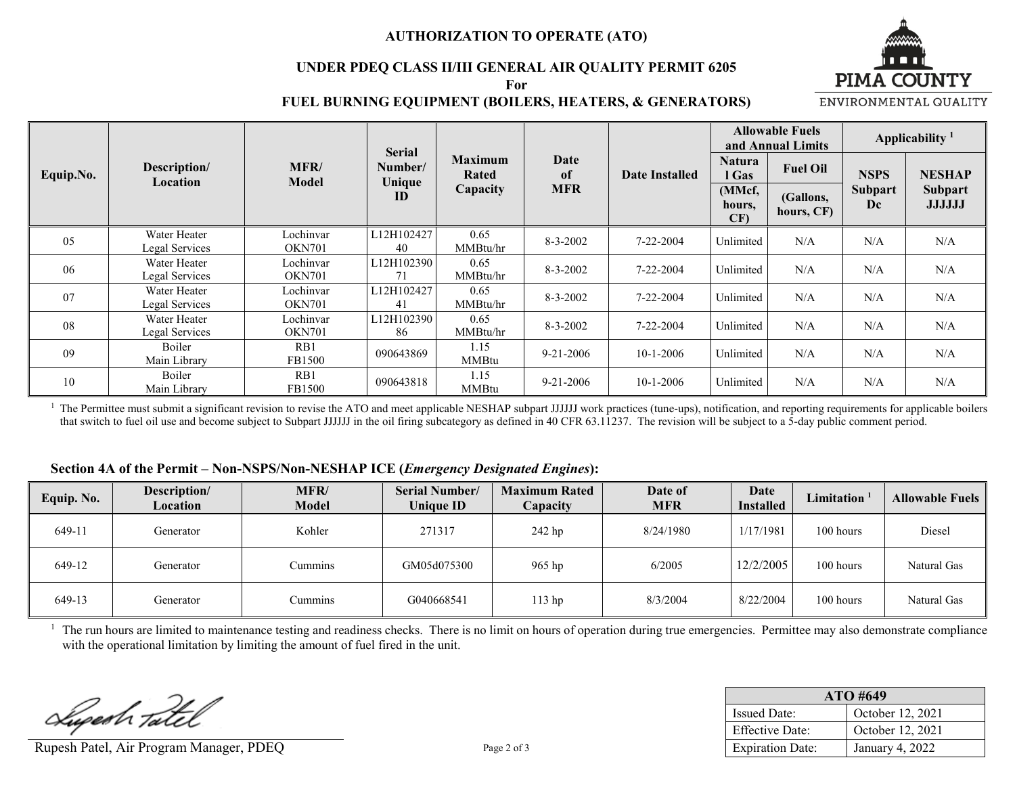## **AUTHORIZATION TO OPERATE (ATO)**

#### **UNDER PDEQ CLASS II/III GENERAL AIR QUALITY PERMIT 6205 For**



#### **FUEL BURNING EQUIPMENT (BOILERS, HEATERS, & GENERATORS)**

ENVIRONMENTAL QUALITY

|           | <b>Serial</b>                  |                            |                                    |                      | <b>Allowable Fuels</b><br>and Annual Limits |                       | Applicability <sup>1</sup> |                         |                      |                                 |
|-----------|--------------------------------|----------------------------|------------------------------------|----------------------|---------------------------------------------|-----------------------|----------------------------|-------------------------|----------------------|---------------------------------|
| Equip.No. | Description/<br>Location       | <b>MFR/</b><br>Model       | <b>Maximum</b><br>Number/<br>Rated |                      | Date<br>of                                  | <b>Date Installed</b> | <b>Natura</b><br>l Gas     | <b>Fuel Oil</b>         | <b>NSPS</b>          | <b>NESHAP</b>                   |
|           |                                |                            | Unique<br>ID                       | Capacity             | <b>MFR</b>                                  |                       | (MMcf,<br>hours,<br>CF     | (Gallons,<br>hours, CF) | <b>Subpart</b><br>Dc | <b>Subpart</b><br><b>JJJJJJ</b> |
| 05        | Water Heater<br>Legal Services | Lochinvar<br><b>OKN701</b> | L12H102427<br>40                   | 0.65<br>MMBtu/hr     | $8 - 3 - 2002$                              | $7 - 22 - 2004$       | Unlimited                  | N/A                     | N/A                  | N/A                             |
| 06        | Water Heater<br>Legal Services | Lochinvar<br><b>OKN701</b> | L12H102390<br>71                   | 0.65<br>MMBtu/hr     | $8 - 3 - 2002$                              | $7 - 22 - 2004$       | Unlimited                  | N/A                     | N/A                  | N/A                             |
| 07        | Water Heater<br>Legal Services | Lochinvar<br><b>OKN701</b> | L12H102427<br>41                   | 0.65<br>MMBtu/hr     | $8 - 3 - 2002$                              | 7-22-2004             | Unlimited                  | N/A                     | N/A                  | N/A                             |
| 08        | Water Heater<br>Legal Services | Lochinvar<br><b>OKN701</b> | L12H102390<br>86                   | 0.65<br>MMBtu/hr     | $8 - 3 - 2002$                              | $7 - 22 - 2004$       | Unlimited                  | N/A                     | N/A                  | N/A                             |
| 09        | Boiler<br>Main Library         | RB1<br>FB1500              | 090643869                          | 1.15<br><b>MMBtu</b> | $9 - 21 - 2006$                             | $10-1-2006$           | Unlimited                  | N/A                     | N/A                  | N/A                             |
| 10        | Boiler<br>Main Library         | RB1<br>FB1500              | 090643818                          | 1.15<br><b>MMBtu</b> | $9 - 21 - 2006$                             | $10-1-2006$           | Unlimited                  | N/A                     | N/A                  | N/A                             |

<sup>1</sup> The Permittee must submit a significant revision to revise the ATO and meet applicable NESHAP subpart JJJJJJ work practices (tune-ups), notification, and reporting requirements for applicable boilers that switch to fuel oil use and become subject to Subpart JJJJJJ in the oil firing subcategory as defined in 40 CFR 63.11237. The revision will be subject to a 5-day public comment period.

#### **Section 4A of the Permit – Non-NSPS/Non-NESHAP ICE (***Emergency Designated Engines***):**

| Equip. No. | Description/<br>Location | MFR/<br><b>Model</b> | <b>Serial Number/</b><br><b>Unique ID</b> | <b>Maximum Rated</b><br>Capacity | Date of<br><b>MFR</b> | Date<br><b>Installed</b> | Limitation | <b>Allowable Fuels</b> |
|------------|--------------------------|----------------------|-------------------------------------------|----------------------------------|-----------------------|--------------------------|------------|------------------------|
| 649-11     | Generator                | Kohler               | 271317                                    | 242 hp                           | 8/24/1980             | 1/17/1981                | 100 hours  | Diesel                 |
| 649-12     | Generator                | Cummins              | GM05d075300                               | 965 hp                           | 6/2005                | 12/2/2005                | 100 hours  | Natural Gas            |
| 649-13     | Generator                | Cummins              | G040668541                                | 113 hp                           | 8/3/2004              | 8/22/2004                | 100 hours  | Natural Gas            |

<sup>1</sup> The run hours are limited to maintenance testing and readiness checks. There is no limit on hours of operation during true emergencies. Permittee may also demonstrate compliance with the operational limitation by limiting the amount of fuel fired in the unit.

Luperh Tatel

Rupesh Patel, Air Program Manager, PDEQ Page 2 of 3

| ATO #649                |                  |  |  |  |  |
|-------------------------|------------------|--|--|--|--|
| <b>Issued Date:</b>     | October 12, 2021 |  |  |  |  |
| <b>Effective Date:</b>  | October 12, 2021 |  |  |  |  |
| <b>Expiration Date:</b> | January 4, 2022  |  |  |  |  |